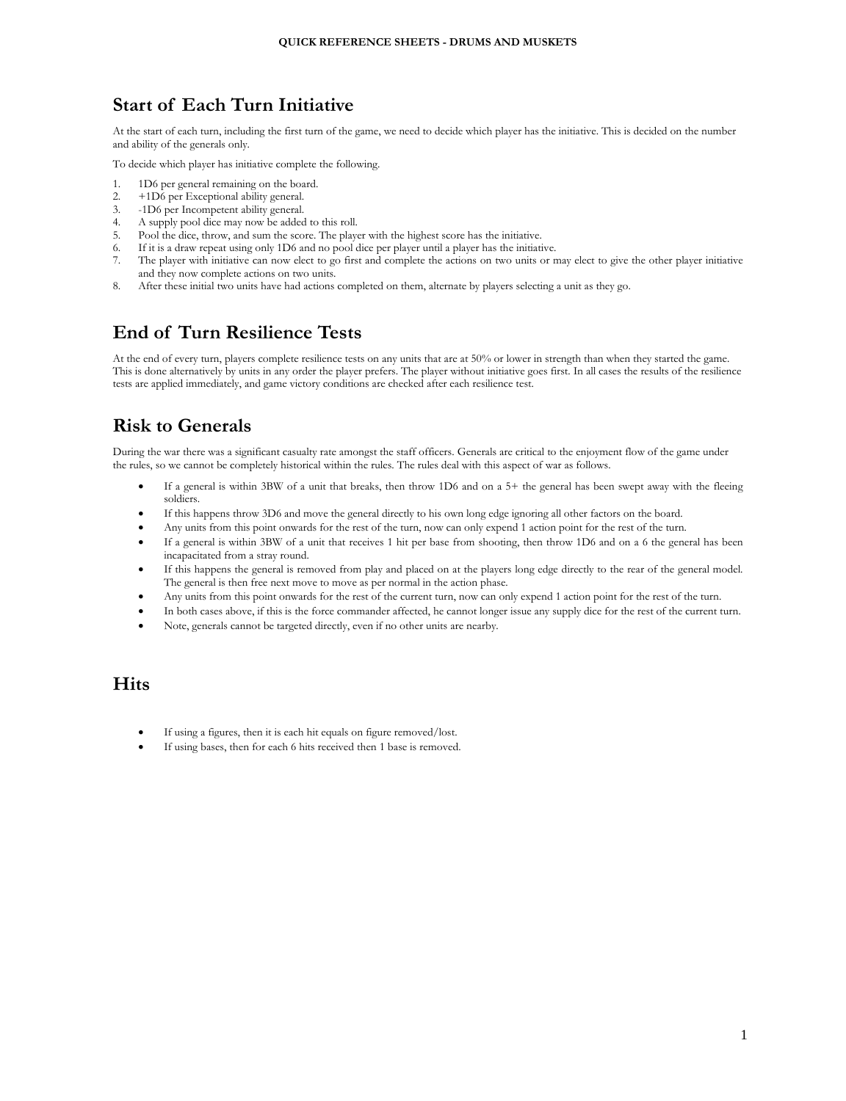# **Start of Each Turn Initiative**

At the start of each turn, including the first turn of the game, we need to decide which player has the initiative. This is decided on the number and ability of the generals only.

To decide which player has initiative complete the following.

- 1. 1D6 per general remaining on the board.
- 2. +1D6 per Exceptional ability general.<br>3. -1D6 per Incompetent ability general.
- -1D6 per Incompetent ability general.
- 4. A supply pool dice may now be added to this roll.
- 5. Pool the dice, throw, and sum the score. The player with the highest score has the initiative.
- 6. If it is a draw repeat using only 1D6 and no pool dice per player until a player has the initiative.
- 7. The player with initiative can now elect to go first and complete the actions on two units or may elect to give the other player initiative and they now complete actions on two units.
- 8. After these initial two units have had actions completed on them, alternate by players selecting a unit as they go.

# **End of Turn Resilience Tests**

At the end of every turn, players complete resilience tests on any units that are at 50% or lower in strength than when they started the game. This is done alternatively by units in any order the player prefers. The player without initiative goes first. In all cases the results of the resilience tests are applied immediately, and game victory conditions are checked after each resilience test.

# **Risk to Generals**

During the war there was a significant casualty rate amongst the staff officers. Generals are critical to the enjoyment flow of the game under the rules, so we cannot be completely historical within the rules. The rules deal with this aspect of war as follows.

- If a general is within 3BW of a unit that breaks, then throw 1D6 and on a 5+ the general has been swept away with the fleeing soldiers.
- If this happens throw 3D6 and move the general directly to his own long edge ignoring all other factors on the board.
- Any units from this point onwards for the rest of the turn, now can only expend 1 action point for the rest of the turn.
- If a general is within 3BW of a unit that receives 1 hit per base from shooting, then throw 1D6 and on a 6 the general has been incapacitated from a stray round.
- If this happens the general is removed from play and placed on at the players long edge directly to the rear of the general model. The general is then free next move to move as per normal in the action phase.
- Any units from this point onwards for the rest of the current turn, now can only expend 1 action point for the rest of the turn.
- In both cases above, if this is the force commander affected, he cannot longer issue any supply dice for the rest of the current turn.
- Note, generals cannot be targeted directly, even if no other units are nearby.

## **Hits**

- If using a figures, then it is each hit equals on figure removed/lost.
- If using bases, then for each 6 hits received then 1 base is removed.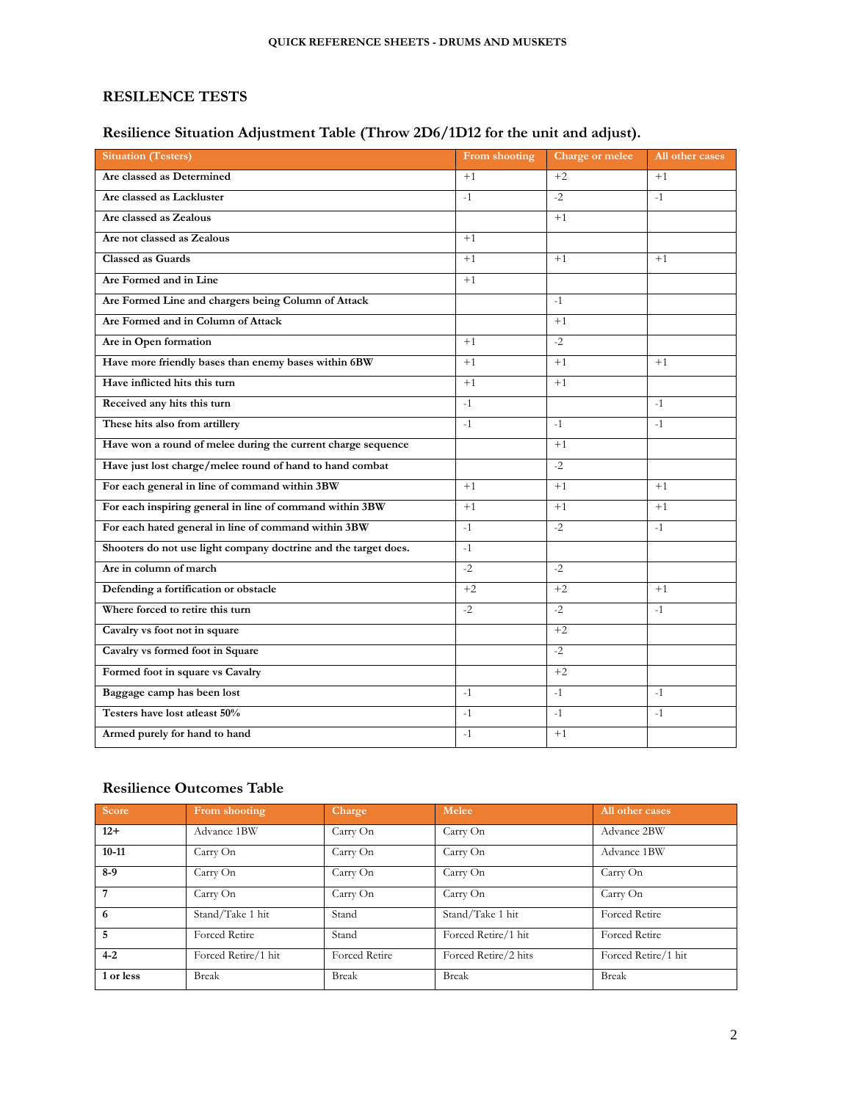## **RESILENCE TESTS**

## **Resilience Situation Adjustment Table (Throw 2D6/1D12 for the unit and adjust).**

| <b>Situation (Testers)</b>                                      | From shooting | Charge or melee | All other cases |
|-----------------------------------------------------------------|---------------|-----------------|-----------------|
| Are classed as Determined                                       | $+1$          | $+2$            | $+1$            |
| Are classed as Lackluster                                       | $-1$          | $-2$            | $-1$            |
| Are classed as Zealous                                          |               | $+1$            |                 |
| Are not classed as Zealous                                      | $+1$          |                 |                 |
| <b>Classed as Guards</b>                                        | $+1$          | $+1$            | $+1$            |
| Are Formed and in Line                                          | $+1$          |                 |                 |
| Are Formed Line and chargers being Column of Attack             |               | $-1$            |                 |
| Are Formed and in Column of Attack                              |               | $+1$            |                 |
| Are in Open formation                                           | $+1$          | $-2$            |                 |
| Have more friendly bases than enemy bases within 6BW            | $+1$          | $+1$            | $+1$            |
| Have inflicted hits this turn                                   | $+1$          | $+1$            |                 |
| Received any hits this turn                                     | $-1$          |                 | $-1$            |
| These hits also from artillery                                  | $-1$          | $-1$            | $-1$            |
| Have won a round of melee during the current charge sequence    |               | $+1$            |                 |
| Have just lost charge/melee round of hand to hand combat        |               | $-2$            |                 |
| For each general in line of command within 3BW                  | $+1$          | $+1$            | $+1$            |
| For each inspiring general in line of command within 3BW        | $+1$          | $+1$            | $+1$            |
| For each hated general in line of command within 3BW            | $-1$          | $-2$            | $-1$            |
| Shooters do not use light company doctrine and the target does. | $-1$          |                 |                 |
| Are in column of march                                          | $-2$          | $-2$            |                 |
| Defending a fortification or obstacle                           | $+2$          | $+2$            | $+1$            |
| Where forced to retire this turn                                | $-2$          | $-2$            | $-1$            |
| Cavalry vs foot not in square                                   |               | $+2$            |                 |
| Cavalry vs formed foot in Square                                |               | $-2$            |                 |
| Formed foot in square vs Cavalry                                |               | $+2$            |                 |
| Baggage camp has been lost                                      | $-1$          | $-1$            | $-1$            |
| Testers have lost atleast 50%                                   | $-1$          | $-1$            | $-1$            |
| Armed purely for hand to hand                                   | $-1$          | $+1$            |                 |

## **Resilience Outcomes Table**

| <b>Score</b> | From shooting       | <b>Charge</b>        | Melee                | All other cases      |
|--------------|---------------------|----------------------|----------------------|----------------------|
| $12+$        | Advance 1BW         | Carry On             | Carry On             | Advance 2BW          |
| $10 - 11$    | Carry On            | Carry On             | Carry On             | Advance 1BW          |
| $8-9$        | Carry On            | Carry On             | Carry On             | Carry On             |
| 7            | Carry On            | Carry On             | Carry On             | Carry On             |
| 6            | Stand/Take 1 hit    | Stand                | Stand/Take 1 hit     | <b>Forced Retire</b> |
| 5            | Forced Retire       | Stand                | Forced Retire/1 hit  | <b>Forced Retire</b> |
| $4 - 2$      | Forced Retire/1 hit | <b>Forced Retire</b> | Forced Retire/2 hits | Forced Retire/1 hit  |
| 1 or less    | <b>Break</b>        | <b>Break</b>         | <b>Break</b>         | Break                |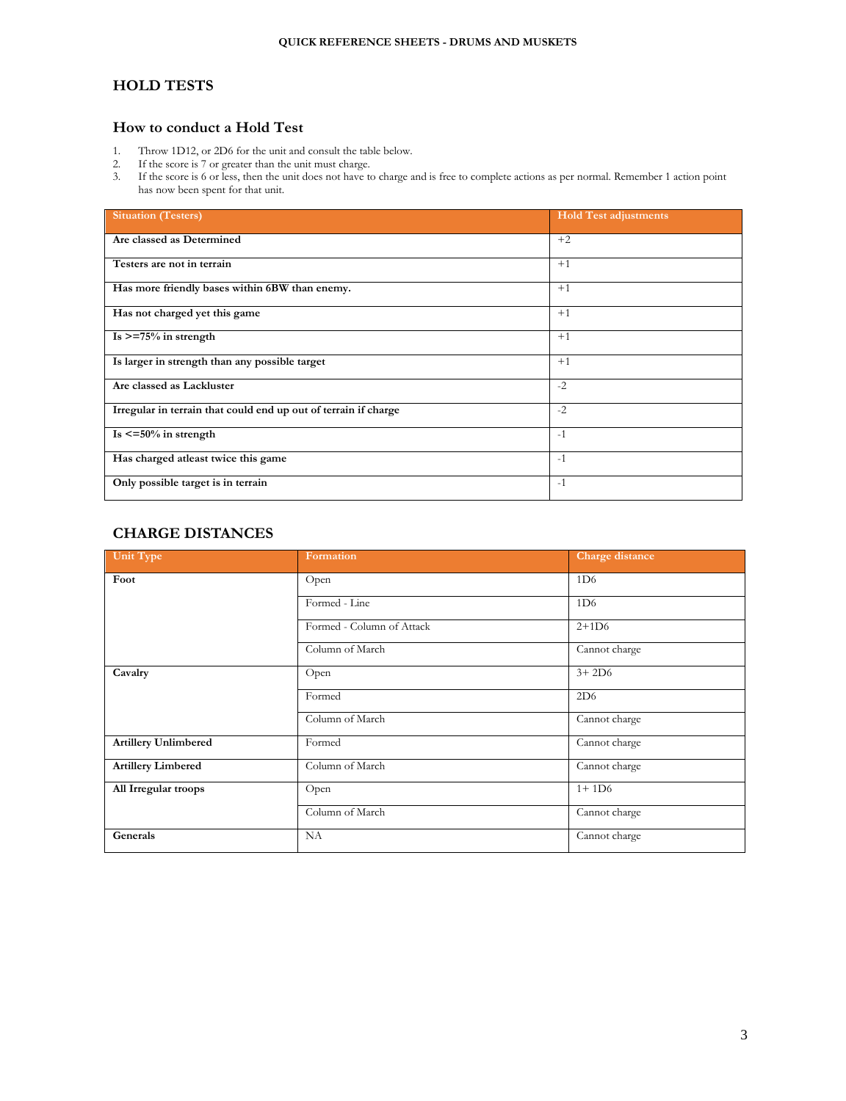### **HOLD TESTS**

### **How to conduct a Hold Test**

- 1. Throw 1D12, or 2D6 for the unit and consult the table below.
- 2. If the score is 7 or greater than the unit must charge.
- 3. If the score is 6 or less, then the unit does not have to charge and is free to complete actions as per normal. Remember 1 action point has now been spent for that unit.

| <b>Situation (Testers)</b>                                      | <b>Hold Test adjustments</b> |
|-----------------------------------------------------------------|------------------------------|
| Are classed as Determined                                       | $+2$                         |
| Testers are not in terrain                                      | $+1$                         |
| Has more friendly bases within 6BW than enemy.                  | $+1$                         |
| Has not charged yet this game                                   | $+1$                         |
| $Is > = 75\%$ in strength                                       | $+1$                         |
| Is larger in strength than any possible target                  | $+1$                         |
| Are classed as Lackluster                                       | $-2$                         |
| Irregular in terrain that could end up out of terrain if charge | $-2$                         |
| Is $\leq$ =50% in strength                                      | $-1$                         |
| Has charged atleast twice this game                             | $-1$                         |
| Only possible target is in terrain                              | $-1$                         |

## **CHARGE DISTANCES**

| Unit Type                   | Formation                 | Charge distance |
|-----------------------------|---------------------------|-----------------|
| Foot                        | Open                      | 1D <sub>6</sub> |
|                             | Formed - Line             | 1D6             |
|                             | Formed - Column of Attack | $2+1D6$         |
|                             | Column of March           | Cannot charge   |
| Cavalry                     | Open                      | $3+2D6$         |
|                             | Formed                    | 2D6             |
|                             | Column of March           | Cannot charge   |
| <b>Artillery Unlimbered</b> | Formed                    | Cannot charge   |
| <b>Artillery Limbered</b>   | Column of March           | Cannot charge   |
| All Irregular troops        | Open                      | $1 + 1D6$       |
|                             | Column of March           | Cannot charge   |
| Generals                    | NA                        | Cannot charge   |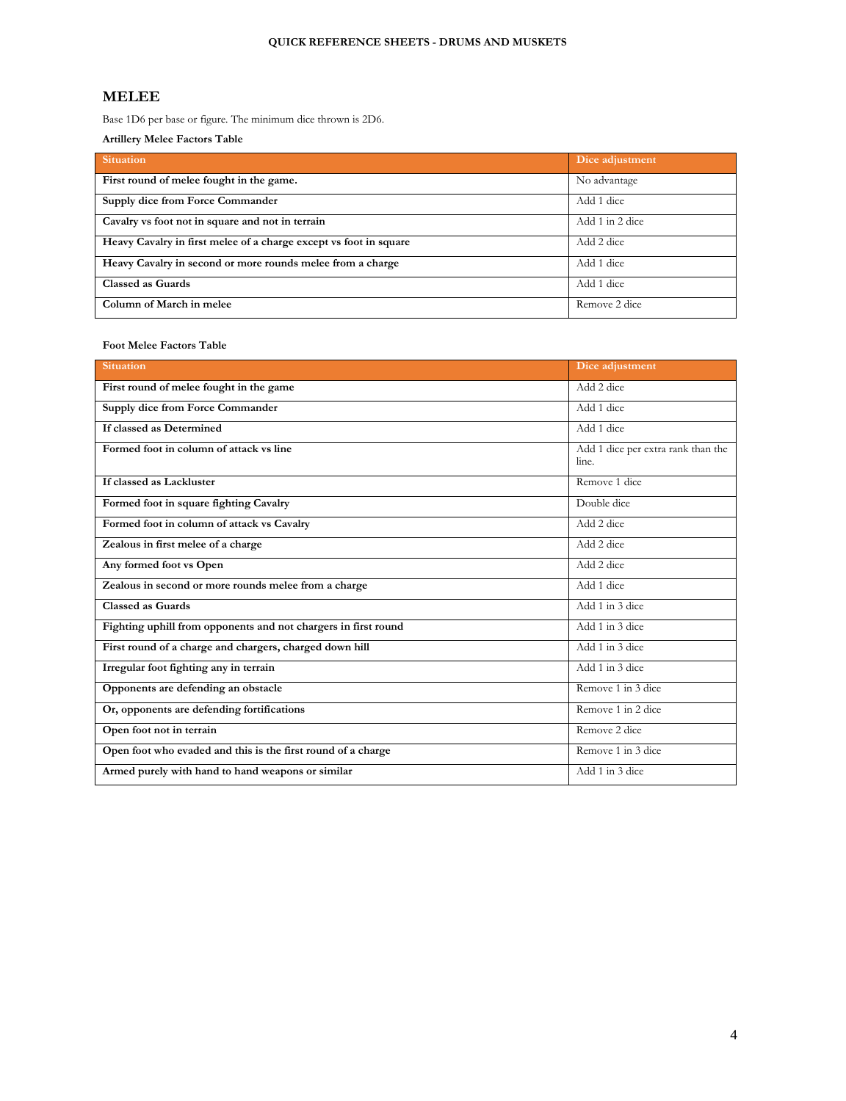### **MELEE**

Base 1D6 per base or figure. The minimum dice thrown is 2D6.

**Artillery Melee Factors Table**

| <b>Situation</b>                                                  | Dice adjustment |
|-------------------------------------------------------------------|-----------------|
| First round of melee fought in the game.                          | No advantage    |
| Supply dice from Force Commander                                  | Add 1 dice      |
| Cavalry vs foot not in square and not in terrain                  | Add 1 in 2 dice |
| Heavy Cavalry in first melee of a charge except vs foot in square | Add 2 dice      |
| Heavy Cavalry in second or more rounds melee from a charge        | Add 1 dice      |
| <b>Classed as Guards</b>                                          | Add 1 dice      |
| Column of March in melee                                          | Remove 2 dice   |

#### **Foot Melee Factors Table**

| <b>Situation</b>                                               | Dice adjustment                             |
|----------------------------------------------------------------|---------------------------------------------|
| First round of melee fought in the game                        | Add 2 dice                                  |
| Supply dice from Force Commander                               | Add 1 dice                                  |
| If classed as Determined                                       | Add 1 dice                                  |
| Formed foot in column of attack vs line                        | Add 1 dice per extra rank than the<br>line. |
| If classed as Lackluster                                       | Remove 1 dice                               |
| Formed foot in square fighting Cavalry                         | Double dice                                 |
| Formed foot in column of attack vs Cavalry                     | Add 2 dice                                  |
| Zealous in first melee of a charge                             | Add 2 dice                                  |
| Any formed foot vs Open                                        | Add 2 dice                                  |
| Zealous in second or more rounds melee from a charge           | Add 1 dice                                  |
| <b>Classed as Guards</b>                                       | Add 1 in 3 dice                             |
| Fighting uphill from opponents and not chargers in first round | Add 1 in 3 dice                             |
| First round of a charge and chargers, charged down hill        | Add 1 in 3 dice                             |
| Irregular foot fighting any in terrain                         | Add 1 in 3 dice                             |
| Opponents are defending an obstacle                            | Remove 1 in 3 dice                          |
| Or, opponents are defending fortifications                     | Remove 1 in 2 dice                          |
| Open foot not in terrain                                       | Remove 2 dice                               |
| Open foot who evaded and this is the first round of a charge   | Remove 1 in 3 dice                          |
| Armed purely with hand to hand weapons or similar              | Add 1 in 3 dice                             |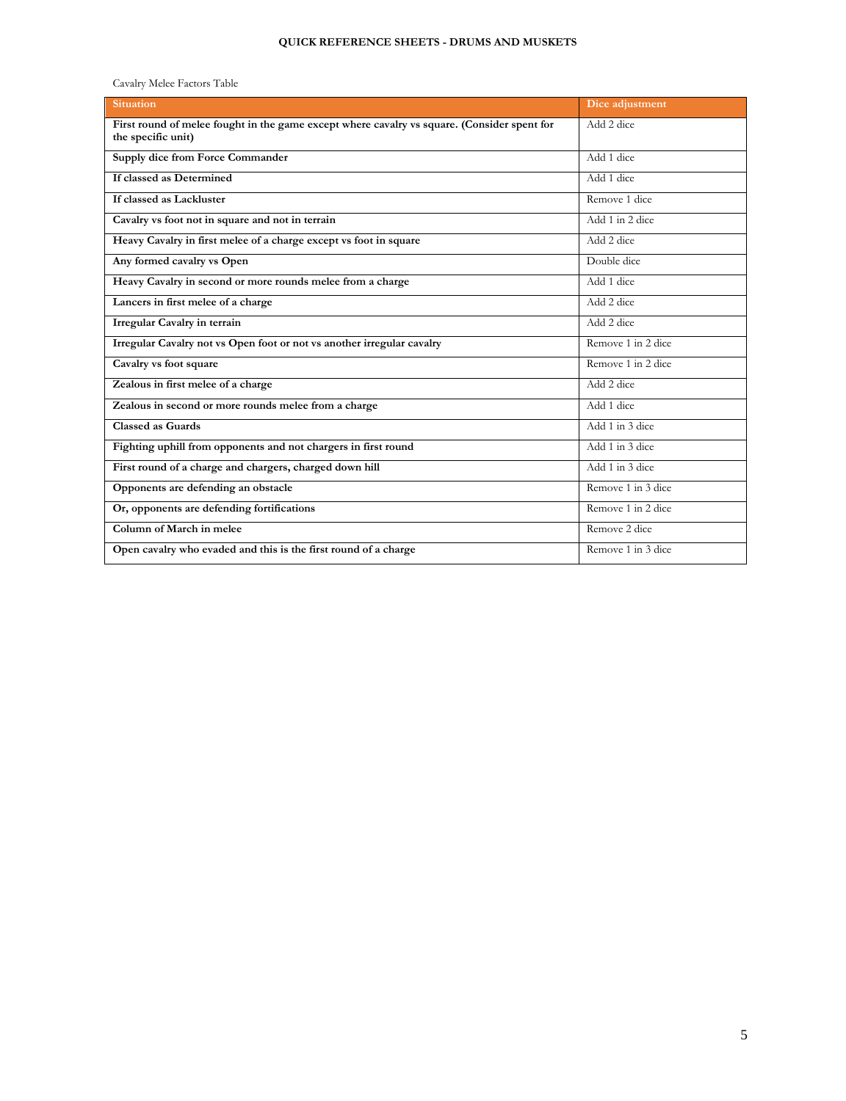#### **QUICK REFERENCE SHEETS - DRUMS AND MUSKETS**

Cavalry Melee Factors Table

| <b>Situation</b>                                                                                                  | Dice adjustment    |
|-------------------------------------------------------------------------------------------------------------------|--------------------|
| First round of melee fought in the game except where cavalry vs square. (Consider spent for<br>the specific unit) | Add 2 dice         |
| Supply dice from Force Commander                                                                                  | Add 1 dice         |
| If classed as Determined                                                                                          | Add 1 dice         |
| If classed as Lackluster                                                                                          | Remove 1 dice      |
| Cavalry vs foot not in square and not in terrain                                                                  | Add 1 in 2 dice    |
| Heavy Cavalry in first melee of a charge except vs foot in square                                                 | Add 2 dice         |
| Any formed cavalry vs Open                                                                                        | Double dice        |
| Heavy Cavalry in second or more rounds melee from a charge                                                        | Add 1 dice         |
| Lancers in first melee of a charge                                                                                | Add 2 dice         |
| <b>Irregular Cavalry in terrain</b>                                                                               | Add 2 dice         |
| Irregular Cavalry not vs Open foot or not vs another irregular cavalry                                            | Remove 1 in 2 dice |
| Cavalry vs foot square                                                                                            | Remove 1 in 2 dice |
| Zealous in first melee of a charge                                                                                | Add 2 dice         |
| Zealous in second or more rounds melee from a charge                                                              | Add 1 dice         |
| <b>Classed as Guards</b>                                                                                          | Add 1 in 3 dice    |
| Fighting uphill from opponents and not chargers in first round                                                    | Add 1 in 3 dice    |
| First round of a charge and chargers, charged down hill                                                           | Add 1 in 3 dice    |
| Opponents are defending an obstacle                                                                               | Remove 1 in 3 dice |
| Or, opponents are defending fortifications                                                                        | Remove 1 in 2 dice |
| Column of March in melee                                                                                          | Remove 2 dice      |
| Open cavalry who evaded and this is the first round of a charge                                                   | Remove 1 in 3 dice |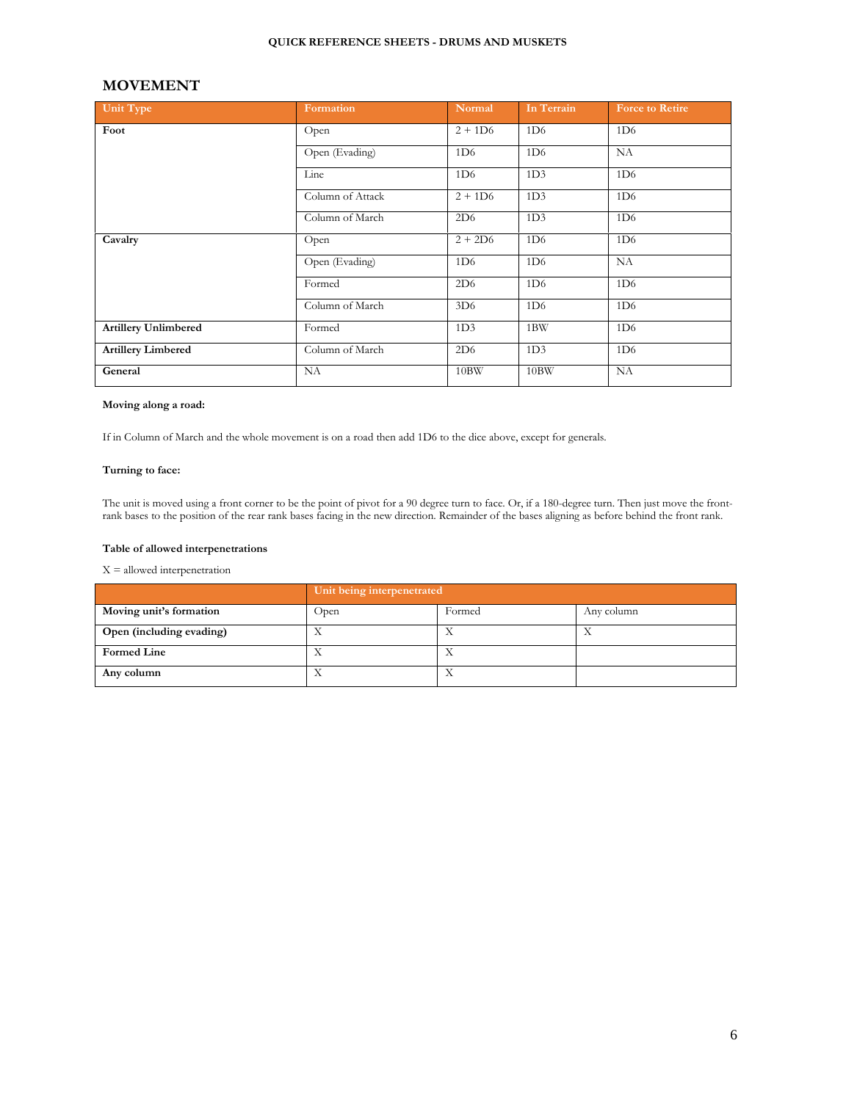#### **QUICK REFERENCE SHEETS - DRUMS AND MUSKETS**

### **MOVEMENT**

| Unit Type                   | Formation        | Normal          | In Terrain      | <b>Force to Retire</b> |
|-----------------------------|------------------|-----------------|-----------------|------------------------|
| Foot                        | Open             | $2 + 1D6$       | 1D <sub>6</sub> | 1D <sub>6</sub>        |
|                             | Open (Evading)   | 1D6             | 1D6             | NA                     |
|                             | Line             | 1D <sub>6</sub> | 1D <sub>3</sub> | 1D <sub>6</sub>        |
|                             | Column of Attack | $2 + 1D6$       | 1D <sub>3</sub> | 1D <sub>6</sub>        |
|                             | Column of March  | 2D6             | 1D <sub>3</sub> | 1D6                    |
| Cavalry                     | Open             | $2 + 2D6$       | 1D6             | 1D <sub>6</sub>        |
|                             | Open (Evading)   | 1D6             | 1D6             | NA                     |
|                             | Formed           | 2D6             | 1D6             | 1D6                    |
|                             | Column of March  | 3D <sub>6</sub> | 1D <sub>6</sub> | 1D6                    |
| <b>Artillery Unlimbered</b> | Formed           | 1D <sub>3</sub> | 1BW             | 1D6                    |
| <b>Artillery Limbered</b>   | Column of March  | 2D6             | 1D <sub>3</sub> | 1D <sub>6</sub>        |
| General                     | NA               | 10BW            | 10BW            | <b>NA</b>              |

#### **Moving along a road:**

If in Column of March and the whole movement is on a road then add 1D6 to the dice above, except for generals.

#### **Turning to face:**

The unit is moved using a front corner to be the point of pivot for a 90 degree turn to face. Or, if a 180-degree turn. Then just move the frontrank bases to the position of the rear rank bases facing in the new direction. Remainder of the bases aligning as before behind the front rank.

#### **Table of allowed interpenetrations**

X = allowed interpenetration

|                          | Unit being interpenetrated |        |            |
|--------------------------|----------------------------|--------|------------|
| Moving unit's formation  | Open                       | Formed | Any column |
| Open (including evading) |                            |        |            |
| <b>Formed Line</b>       |                            | ∡⊾     |            |
| Any column               |                            |        |            |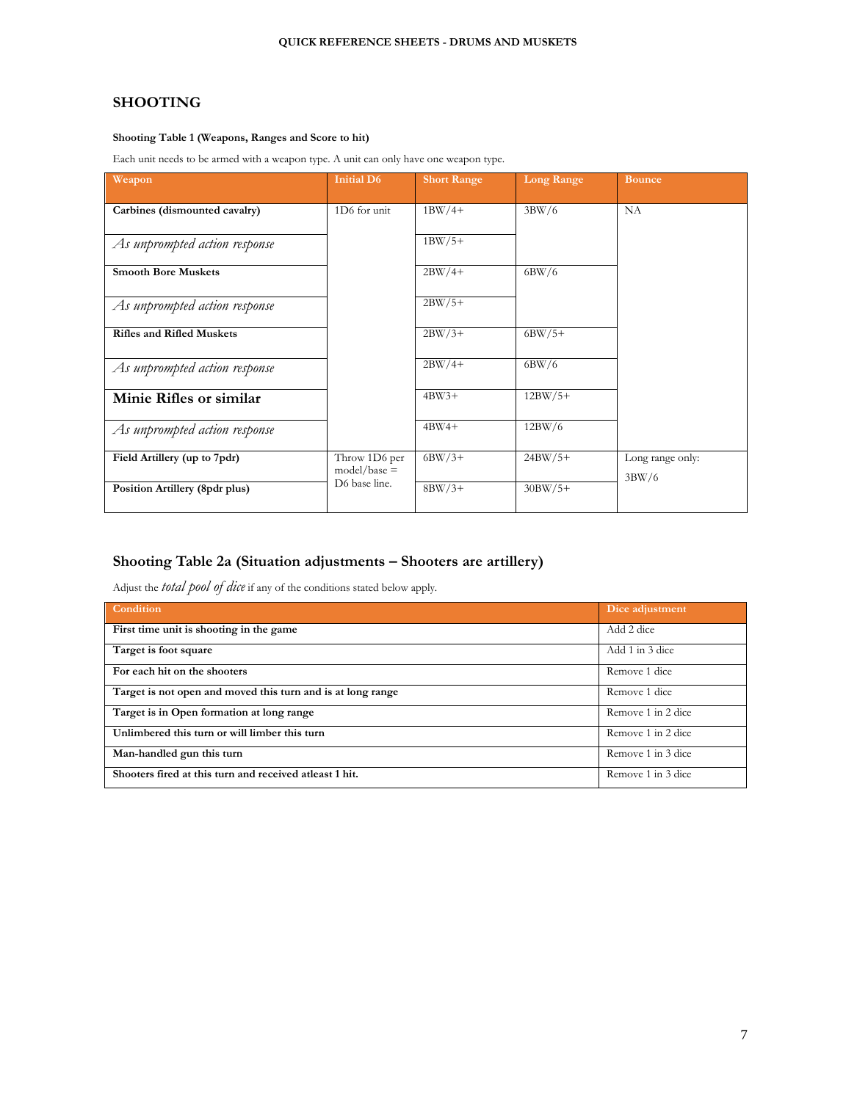### **SHOOTING**

#### **Shooting Table 1 (Weapons, Ranges and Score to hit)**

Each unit needs to be armed with a weapon type. A unit can only have one weapon type.

| Weapon                           | <b>Initial D6</b>               | <b>Short Range</b> | <b>Long Range</b> | <b>Bounce</b>             |
|----------------------------------|---------------------------------|--------------------|-------------------|---------------------------|
| Carbines (dismounted cavalry)    | 1D6 for unit                    | $1BW/4+$           | 3BW/6             | NA                        |
| As unprompted action response    |                                 | $1BW/5+$           |                   |                           |
| <b>Smooth Bore Muskets</b>       |                                 | $2BW/4+$           | 6BW/6             |                           |
| As unprompted action response    |                                 | $2BW/5+$           |                   |                           |
| <b>Rifles and Rifled Muskets</b> |                                 | $2BW/3+$           | $6BW/5+$          |                           |
| As unprompted action response    |                                 | $2BW/4+$           | 6BW/6             |                           |
| Minie Rifles or similar          |                                 | $4BW3+$            | $12BW/5+$         |                           |
| As unprompted action response    |                                 | $4BW4+$            | 12BW/6            |                           |
| Field Artillery (up to 7pdr)     | Throw 1D6 per<br>$model/base =$ | $6BW/3+$           | $24BW/5+$         | Long range only:<br>3BW/6 |
| Position Artillery (8pdr plus)   | D6 base line.                   | $8BW/3+$           | $30BW/5+$         |                           |

## **Shooting Table 2a (Situation adjustments – Shooters are artillery)**

Adjust the *total pool of dice* if any of the conditions stated below apply.

| Condition                                                   | Dice adjustment    |
|-------------------------------------------------------------|--------------------|
| First time unit is shooting in the game                     | Add 2 dice         |
| Target is foot square                                       | Add 1 in 3 dice    |
| For each hit on the shooters                                | Remove 1 dice      |
| Target is not open and moved this turn and is at long range | Remove 1 dice      |
| Target is in Open formation at long range                   | Remove 1 in 2 dice |
| Unlimbered this turn or will limber this turn               | Remove 1 in 2 dice |
| Man-handled gun this turn                                   | Remove 1 in 3 dice |
| Shooters fired at this turn and received at least 1 hit.    | Remove 1 in 3 dice |